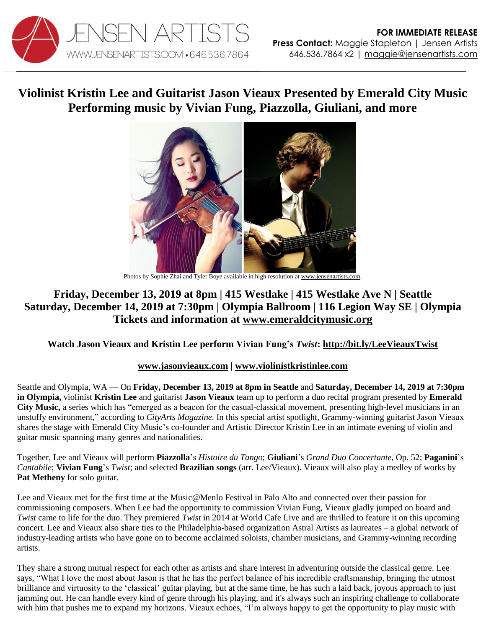

# **Violinist Kristin Lee and Guitarist Jason Vieaux Presented by Emerald City Music Performing music by Vivian Fung, Piazzolla, Giuliani, and more**



Photos by Sophie Zhai and Tyler Boye available in high resolution a[t www.jensenartists.com.](http://www.jensenartists.com/)

# **Friday, December 13, 2019 at 8pm | 415 Westlake | 415 Westlake Ave N | Seattle Saturday, December 14, 2019 at 7:30pm | Olympia Ballroom | 116 Legion Way SE | Olympia Tickets and information at [www.emeraldcitymusic.org](https://www.emeraldcitymusic.org/shop/vieaux-lee-december-2019)**

## **Watch Jason Vieaux and Kristin Lee perform Vivian Fung's** *Twist***:<http://bit.ly/LeeVieauxTwist>**

## **[www.jasonvieaux.com](http://www.jasonvieaux.com/) | [www.violinistkristinlee.com](http://www.violinistkristinlee.com/)**

Seattle and Olympia, WA — On **Friday, December 13, 2019 at 8pm in Seattle** and **Saturday, December 14, 2019 at 7:30pm in Olympia,** violinist **Kristin Lee** and guitarist **Jason Vieaux** team up to perform a duo recital program presented by **Emerald City Music,** a series which has "emerged as a beacon for the casual-classical movement, presenting high-level musicians in an unstuffy environment," according to *CityArts Magazine.* In this special artist spotlight, Grammy-winning guitarist Jason Vieaux shares the stage with Emerald City Music's co-founder and Artistic Director Kristin Lee in an intimate evening of violin and guitar music spanning many genres and nationalities.

Together, Lee and Vieaux will perform **Piazzolla**'s *Histoire du Tango*; **Giuliani**'s *Grand Duo Concertante*, Op. 52; **Paganini**'s *Cantabile*; **Vivian Fung**'s *Twist*; and selected **Brazilian songs** (arr. Lee/Vieaux). Vieaux will also play a medley of works by **Pat Metheny** for solo guitar.

Lee and Vieaux met for the first time at the Music@Menlo Festival in Palo Alto and connected over their passion for commissioning composers. When Lee had the opportunity to commission Vivian Fung, Vieaux gladly jumped on board and *Twist* came to life for the duo. They premiered *Twist* in 2014 at World Cafe Live and are thrilled to feature it on this upcoming concert. Lee and Vieaux also share ties to the Philadelphia-based organization Astral Artists as laureates – a global network of industry-leading artists who have gone on to become acclaimed soloists, chamber musicians, and Grammy-winning recording artists.

They share a strong mutual respect for each other as artists and share interest in adventuring outside the classical genre. Lee says, "What I love the most about Jason is that he has the perfect balance of his incredible craftsmanship, bringing the utmost brilliance and virtuosity to the 'classical' guitar playing, but at the same time, he has such a laid back, joyous approach to just jamming out. He can handle every kind of genre through his playing, and it's always such an inspiring challenge to collaborate with him that pushes me to expand my horizons. Vieaux echoes, "I'm always happy to get the opportunity to play music with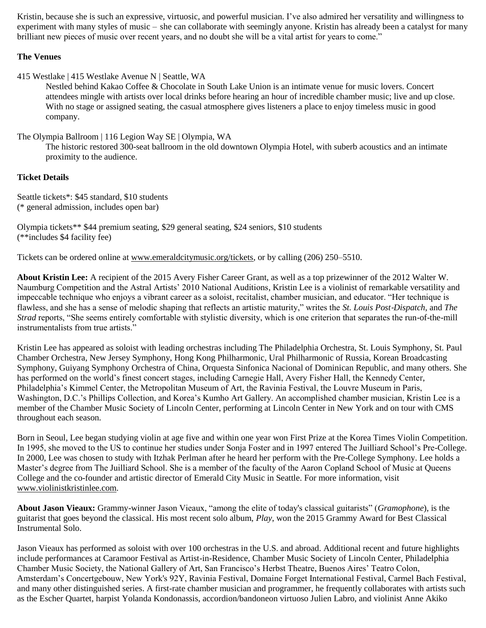Kristin, because she is such an expressive, virtuosic, and powerful musician. I've also admired her versatility and willingness to experiment with many styles of music – she can collaborate with seemingly anyone. Kristin has already been a catalyst for many brilliant new pieces of music over recent years, and no doubt she will be a vital artist for years to come."

#### **The Venues**

415 Westlake | 415 Westlake Avenue N | Seattle, WA

Nestled behind Kakao Coffee & Chocolate in South Lake Union is an intimate venue for music lovers. Concert attendees mingle with artists over local drinks before hearing an hour of incredible chamber music; live and up close. With no stage or assigned seating, the casual atmosphere gives listeners a place to enjoy timeless music in good company.

The Olympia Ballroom | 116 Legion Way SE | Olympia, WA

The historic restored 300-seat ballroom in the old downtown Olympia Hotel, with suberb acoustics and an intimate proximity to the audience.

#### **Ticket Details**

Seattle tickets\*: \$45 standard, \$10 students (\* general admission, includes open bar)

Olympia tickets\*\* \$44 premium seating, \$29 general seating, \$24 seniors, \$10 students (\*\*includes \$4 facility fee)

Tickets can be ordered online at [www.emeraldcitymusic.org/tickets,](http://www.emeraldcitymusic.org/tickets) or by calling (206) 250–5510.

**About Kristin Lee:** A recipient of the 2015 Avery Fisher Career Grant, as well as a top prizewinner of the 2012 Walter W. Naumburg Competition and the Astral Artists' 2010 National Auditions, Kristin Lee is a violinist of remarkable versatility and impeccable technique who enjoys a vibrant career as a soloist, recitalist, chamber musician, and educator. "Her technique is flawless, and she has a sense of melodic shaping that reflects an artistic maturity," writes the *St. Louis Post*‑*Dispatch*, and *The Strad* reports, "She seems entirely comfortable with stylistic diversity, which is one criterion that separates the run-of-the-mill instrumentalists from true artists."

Kristin Lee has appeared as soloist with leading orchestras including The Philadelphia Orchestra, St. Louis Symphony, St. Paul Chamber Orchestra, New Jersey Symphony, Hong Kong Philharmonic, Ural Philharmonic of Russia, Korean Broadcasting Symphony, Guiyang Symphony Orchestra of China, Orquesta Sinfonica Nacional of Dominican Republic, and many others. She has performed on the world's finest concert stages, including Carnegie Hall, Avery Fisher Hall, the Kennedy Center, Philadelphia's Kimmel Center, the Metropolitan Museum of Art, the Ravinia Festival, the Louvre Museum in Paris, Washington, D.C.'s Phillips Collection, and Korea's Kumho Art Gallery. An accomplished chamber musician, Kristin Lee is a member of the Chamber Music Society of Lincoln Center, performing at Lincoln Center in New York and on tour with CMS throughout each season.

Born in Seoul, Lee began studying violin at age five and within one year won First Prize at the Korea Times Violin Competition. In 1995, she moved to the US to continue her studies under Sonja Foster and in 1997 entered The Juilliard School's Pre-College. In 2000, Lee was chosen to study with Itzhak Perlman after he heard her perform with the Pre-College Symphony. Lee holds a Master's degree from The Juilliard School. She is a member of the faculty of the Aaron Copland School of Music at Queens College and the co-founder and artistic director of Emerald City Music in Seattle. For more information, visit [www.violinistkristinlee.com.](http://www.violinistkristinlee.com/)

**About Jason Vieaux:** Grammy-winner Jason Vieaux, "among the elite of today's classical guitarists" (*Gramophone*), is the guitarist that goes beyond the classical. His most recent solo album, *Play*, won the 2015 Grammy Award for Best Classical Instrumental Solo.

Jason Vieaux has performed as soloist with over 100 orchestras in the U.S. and abroad. Additional recent and future highlights include performances at Caramoor Festival as Artist-in-Residence, Chamber Music Society of Lincoln Center, Philadelphia Chamber Music Society, the National Gallery of Art, San Francisco's Herbst Theatre, Buenos Aires' Teatro Colon, Amsterdam's Concertgebouw, New York's 92Y, Ravinia Festival, Domaine Forget International Festival, Carmel Bach Festival, and many other distinguished series. A first-rate chamber musician and programmer, he frequently collaborates with artists such as the Escher Quartet, harpist Yolanda Kondonassis, accordion/bandoneon virtuoso Julien Labro, and violinist Anne Akiko